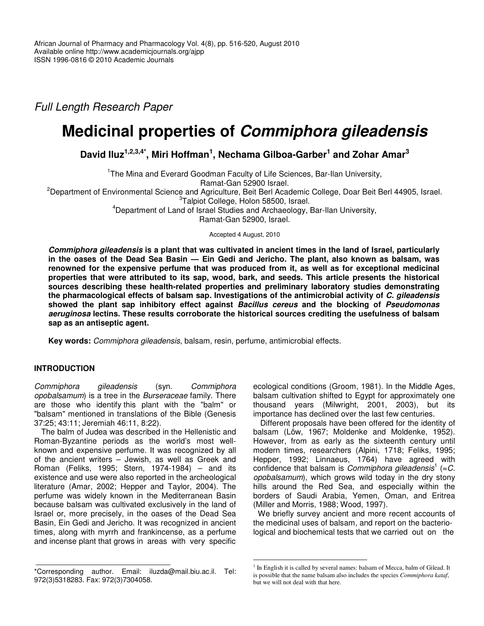*Full Length Research Paper*

# **Medicinal properties of** *Commiphora gileadensis*

**David Iluz 1,2,3,4\* , Miri Hoffman 1 , Nechama Gilboa-Garber 1 and Zohar Amar 3**

<sup>1</sup>The Mina and Everard Goodman Faculty of Life Sciences, Bar-Ilan University, Ramat-Gan 52900 Israel. <sup>2</sup>Department of Environmental Science and Agriculture, Beit Berl Academic College, Doar Beit Berl 44905, Israel. <sup>3</sup>Talpiot College, Holon 58500, Israel. <sup>4</sup>Department of Land of Israel Studies and Archaeology, Bar-Ilan University, Ramat-Gan 52900, Israel.

Accepted 4 August, 2010

Commiphora gileadensis is a plant that was cultivated in ancient times in the land of Israel, particularly in the oases of the Dead Sea Basin - Ein Gedi and Jericho. The plant, also known as balsam, was **renowned for the expensive perfume that was produced from it, as well as for exceptional medicinal properties that were attributed to its sap, wood, bark, and seeds. This article presents the historical sources describing these health-related properties and preliminary laboratory studies demonstrating the pharmacological effects of balsam sap***.* **Investigations of the antimicrobial activity of** *C. gileadensis* **showed the plant sap inhibitory effect against** *Bacillus cereus* **and the blocking of** *Pseudomonas aeruginosa* **lectins. These results corroborate the historical sources crediting the usefulness of balsam sap as an antiseptic agent.**

**Key words:** *Commiphora gileadensis*, balsam, resin, perfume, antimicrobial effects.

# **INTRODUCTION**

*Commiphora gileadensis* (syn. *Commiphora opobalsamum*) is a tree in the *Burseraceae* family. There are those who identify this plant with the "balm" or "balsam" mentioned in translations of the Bible (Genesis 37:25; 43:11; Jeremiah 46:11, 8:22).

The balm of Judea was described in the Hellenistic and Roman-Byzantine periods as the world's most wellknown and expensive perfume. It was recognized by all of the ancient writers – Jewish, as well as Greek and Roman (Feliks, 1995; Stern, 1974-1984) – and its existence and use were also reported in the archeological literature (Amar, 2002; Hepper and Taylor, 2004). The perfume was widely known in the Mediterranean Basin because balsam was cultivated exclusively in the land of Israel or, more precisely, in the oases of the Dead Sea Basin, Ein Gedi and Jericho. It was recognized in ancient times, along with myrrh and frankincense, as a perfume and incense plant that grows in areas with very specific

ecological conditions (Groom, 1981). In the Middle Ages, balsam cultivation shifted to Egypt for approximately one thousand years (Milwright, 2001, 2003), but its importance has declined over the last few centuries.

Different proposals have been offered for the identity of balsam (Löw, 1967; Moldenke and Moldenke, 1952). However, from as early as the sixteenth century until modern times, researchers (Alpini, 1718; Feliks, 1995; Hepper, 1992; Linnaeus, 1764) have agreed with confidence that balsam is *Commiphora gileadensis* 1 (=*C. opobalsamum*), which grows wild today in the dry stony hills around the Red Sea, and especially within the borders of Saudi Arabia, Yemen, Oman, and Eritrea (Miller and Morris, 1988; Wood, 1997).

We briefly survey ancient and more recent accounts of the medicinal uses of balsam, and report on the bacteriological and biochemical tests that we carried out on the

<sup>\*</sup>Corresponding author. Email: iluzda@mail.biu.ac.il. Tel: 972(3)5318283. Fax: 972(3)7304058.

<sup>&</sup>lt;sup>1</sup> In English it is called by several names: balsam of Mecca, balm of Gilead. It is possible that the name balsam also includes the species *Commiphora kataf*, but we will not deal with that here.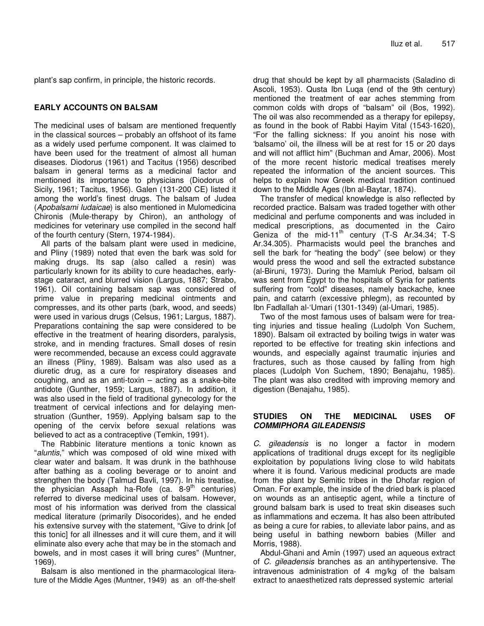plant's sap confirm, in principle, the historic records.

## **EARLY ACCOUNTS ON BALSAM**

The medicinal uses of balsam are mentioned frequently in the classical sources – probably an offshoot of its fame as a widely used perfume component. It was claimed to have been used for the treatment of almost all human diseases. Diodorus (1961) and Tacitus (1956) described balsam in general terms as a medicinal factor and mentioned its importance to physicians (Diodorus of Sicily, 1961; Tacitus, 1956). Galen (131-200 CE) listed it among the world's finest drugs. The balsam of Judea (*Apobalsami Iudaicae*) is also mentioned in Mulomedicina Chironis (Mule-therapy by Chiron), an anthology of medicines for veterinary use compiled in the second half of the fourth century (Stern, 1974-1984).

All parts of the balsam plant were used in medicine, and Pliny (1989) noted that even the bark was sold for making drugs. Its sap (also called a resin) was particularly known for its ability to cure headaches, earlystage cataract, and blurred vision (Largus, 1887; Strabo, 1961). Oil containing balsam sap was considered of prime value in preparing medicinal ointments and compresses, and its other parts (bark, wood, and seeds) were used in various drugs (Celsus, 1961; Largus, 1887). Preparations containing the sap were considered to be effective in the treatment of hearing disorders, paralysis, stroke, and in mending fractures. Small doses of resin were recommended, because an excess could aggravate an illness (Pliny, 1989). Balsam was also used as a diuretic drug, as a cure for respiratory diseases and coughing, and as an anti-toxin – acting as a snake-bite antidote (Gunther, 1959; Largus, 1887). In addition, it was also used in the field of traditional gynecology for the treatment of cervical infections and for delaying menstruation (Gunther, 1959). Applying balsam sap to the opening of the cervix before sexual relations was believed to act as a contraceptive (Temkin, 1991).

The Rabbinic literature mentions a tonic known as "*aluntis*," which was composed of old wine mixed with clear water and balsam. It was drunk in the bathhouse after bathing as a cooling beverage or to anoint and strengthen the body (Talmud Bavli, 1997). In his treatise, the physician Assaph ha-Rofe (ca. 8-9<sup>th</sup> centuries) referred to diverse medicinal uses of balsam. However, most of his information was derived from the classical medical literature (primarily Disocorides), and he ended his extensive survey with the statement, "Give to drink [of this tonic] for all illnesses and it will cure them, and it will eliminate also every ache that may be in the stomach and bowels, and in most cases it will bring cures" (Muntner, 1969).

Balsam is also mentioned in the pharmacological literature of the Middle Ages (Muntner, 1949) as an off-the-shelf drug that should be kept by all pharmacists (Saladino di Ascoli, 1953). Qusta Ibn Luqa (end of the 9th century) mentioned the treatment of ear aches stemming from common colds with drops of "balsam" oil (Bos, 1992). The oil was also recommended as a therapy for epilepsy, as found in the book of Rabbi Hayim Vital (1543-1620), "For the falling sickness: If you anoint his nose with 'balsamo' oil, the illness will be at rest for 15 or 20 days and will not afflict him" (Buchman and Amar, 2006). Most of the more recent historic medical treatises merely repeated the information of the ancient sources. This helps to explain how Greek medical tradition continued down to the Middle Ages (Ibn al-Baytar, 1874).

The transfer of medical knowledge is also reflected by recorded practice. Balsam was traded together with other medicinal and perfume components and was included in medical prescriptions, as documented in the Cairo Geniza of the mid-11<sup>th</sup> century (T-S Ar.34.34; T-S Ar.34.305). Pharmacists would peel the branches and sell the bark for "heating the body" (see below) or they would press the wood and sell the extracted substance (al-Biruni, 1973). During the Mamluk Period, balsam oil was sent from Egypt to the hospitals of Syria for patients suffering from "cold" diseases, namely backache, knee pain, and catarrh (excessive phlegm), as recounted by Ibn Fadlallah al-'Umari (1301-1349) (al-Umari, 1985).

Two of the most famous uses of balsam were for treating injuries and tissue healing (Ludolph Von Suchem, 1890). Balsam oil extracted by boiling twigs in water was reported to be effective for treating skin infections and wounds, and especially against traumatic injuries and fractures, such as those caused by falling from high places (Ludolph Von Suchem, 1890; Benajahu, 1985). The plant was also credited with improving memory and digestion (Benajahu, 1985).

## **STUDIES ON THE MEDICINAL USES OF** *COMMIPHORA GILEADENSIS*

*C. gileadensis* is no longer a factor in modern applications of traditional drugs except for its negligible exploitation by populations living close to wild habitats where it is found. Various medicinal products are made from the plant by Semitic tribes in the Dhofar region of Oman. For example, the inside of the dried bark is placed on wounds as an antiseptic agent, while a tincture of ground balsam bark is used to treat skin diseases such as inflammations and eczema. It has also been attributed as being a cure for rabies, to alleviate labor pains, and as being useful in bathing newborn babies (Miller and Morris, 1988).

Abdul-Ghani and Amin (1997) used an aqueous extract of *C. gileadensis* branches as an antihypertensive. The intravenous administration of 4 mg/kg of the balsam extract to anaesthetized rats depressed systemic arterial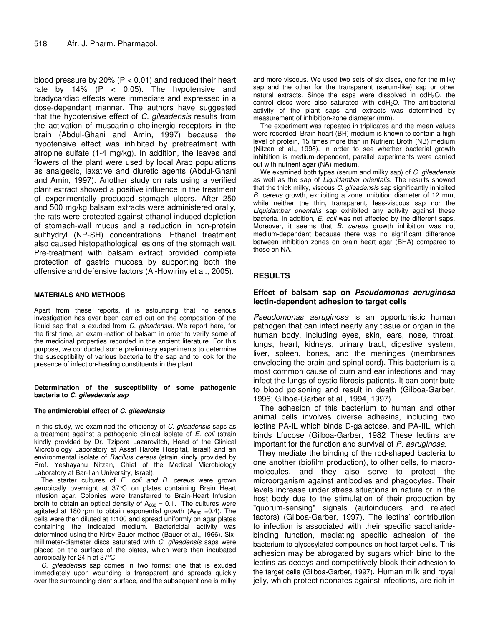blood pressure by 20% ( $P < 0.01$ ) and reduced their heart rate by 14%  $(P < 0.05)$ . The hypotensive and bradycardiac effects were immediate and expressed in a dose-dependent manner. The authors have suggested that the hypotensive effect of *C. gileadensis* results from the activation of muscarinic cholinergic receptors in the brain (Abdul-Ghani and Amin, 1997) because the hypotensive effect was inhibited by pretreatment with atropine sulfate (1-4 mg/kg). In addition, the leaves and flowers of the plant were used by local Arab populations as analgesic, laxative and diuretic agents (Abdul-Ghani and Amin, 1997). Another study on rats using a verified plant extract showed a positive influence in the treatment of experimentally produced stomach ulcers. After 250 and 500 mg/kg balsam extracts were administered orally, the rats were protected against ethanol-induced depletion of stomach-wall mucus and a reduction in non-protein sulfhydryl (NP-SH) concentrations. Ethanol treatment also caused histopathological lesions of the stomach wall. Pre-treatment with balsam extract provided complete protection of gastric mucosa by supporting both the offensive and defensive factors (Al-Howiriny et al.*,* 2005).

#### **MATERIALS AND METHODS**

Apart from these reports, it is astounding that no serious investigation has ever been carried out on the composition of the liquid sap that is exuded from *C. gileadensis.* We report here, for the first time, an exami-nation of balsam in order to verify some of the medicinal properties recorded in the ancient literature. For this purpose, we conducted some preliminary experiments to determine the susceptibility of various bacteria to the sap and to look for the presence of infection-healing constituents in the plant.

#### **Determination of the susceptibility of some pathogenic bacteria to** *C. gileadensis sap*

#### **The antimicrobial effect of** *C. gileadensis*

In this study, we examined the efficiency of *C. gileadensis* saps as a treatment against a pathogenic clinical isolate of *E. coli* (strain kindly provided by Dr. Tzipora Lazarovitch, Head of the Clinical Microbiology Laboratory at Assaf Harofe Hospital, Israel) and an environmental isolate of *Bacillus cereus* (strain kindly provided by Prof. Yeshayahu Nitzan, Chief of the Medical Microbiology Laboratory at Bar-Ilan University, Israel).

The starter cultures of *E. coli and B. cereus* were grown aerobically overnight at 37°C on plates containing Brain Heart Infusion agar. Colonies were transferred to Brain-Heart Infusion broth to obtain an optical density of  $A_{660} = 0.1$ . The cultures were agitated at 180 rpm to obtain exponential growth  $(A_{660} = 0.4)$ . The cells were then diluted at 1:100 and spread uniformly on agar plates containing the indicated medium. Bactericidal activity was determined using the Kirby-Bauer method (Bauer et al., 1966). Sixmillimeter-diameter discs saturated with *C. gileadensis* saps were placed on the surface of the plates, which were then incubated aerobically for 24 h at 37°C.

*C. gileadensis* sap comes in two forms: one that is exuded immediately upon wounding is transparent and spreads quickly over the surrounding plant surface, and the subsequent one is milky

and more viscous. We used two sets of six discs, one for the milky sap and the other for the transparent (serum-like) sap or other natural extracts. Since the saps were dissolved in ddH<sub>2</sub>O, the control discs were also saturated with ddH2O. The antibacterial activity of the plant saps and extracts was determined by measurement of inhibition-zone diameter (mm).

The experiment was repeated in triplicates and the mean values were recorded. Brain heart (BH) medium is known to contain a high level of protein, 15 times more than in Nutrient Broth (NB) medium (Nitzan et al., 1998). In order to see whether bacterial growth inhibition is medium-dependent, parallel experiments were carried out with nutrient agar (NA) medium.

We examined both types (serum and milky sap) of *C. gileadensis* as well as the sap of *Liquidambar orientalis*. The results showed that the thick milky, viscous *C. gileadensis* sap significantly inhibited *B. cereus* growth, exhibiting a zone inhibition diameter of 12 mm, while neither the thin, transparent, less-viscous sap nor the *Liquidambar orientalis* sap exhibited any activity against these bacteria. In addition, *E. coli* was not affected by the different saps. Moreover, it seems that *B. cereus* growth inhibition was not medium-dependent because there was no significant difference between inhibition zones on brain heart agar (BHA) compared to those on NA.

## **RESULTS**

## **Effect of balsam sap on** *Pseudomonas aeruginosa* **lectin-dependent adhesion to target cells**

*Pseudomonas aeruginosa* is an opportunistic human pathogen that can infect nearly any tissue or organ in the human body, including eyes, skin, ears, nose, throat, lungs, heart, kidneys, urinary tract, digestive system, liver, spleen, bones, and the meninges (membranes enveloping the brain and spinal cord). This bacterium is a most common cause of burn and ear infections and may infect the lungs of cystic fibrosis patients. It can contribute to blood poisoning and result in death (Gilboa-Garber, 1996; Gilboa-Garber et al., 1994, 1997).

The adhesion of this bacterium to human and other animal cells involves diverse adhesins, including two lectins PA-IL which binds D-galactose, and PA-IIL, which binds Lfucose (Gilboa-Garber, 1982 These lectins are important for the function and survival of *P. aeruginosa*.

They mediate the binding of the rod-shaped bacteria to one another (biofilm production), to other cells, to macromolecules, and they also serve to protect the microorganism against antibodies and phagocytes. Their levels increase under stress situations in nature or in the host body due to the stimulation of their production by "quorum-sensing" signals (autoinducers and related factors) (Gilboa-Garber, 1997). The lectins' contribution to infection is associated with their specific saccharidebinding function, mediating specific adhesion of the bacterium to glycosylated compounds on host target cells. This adhesion may be abrogated by sugars which bind to the lectins as decoys and competitively block their adhesion to the target cells (Gilboa-Garber, 1997). Human milk and royal jelly, which protect neonates against infections, are rich in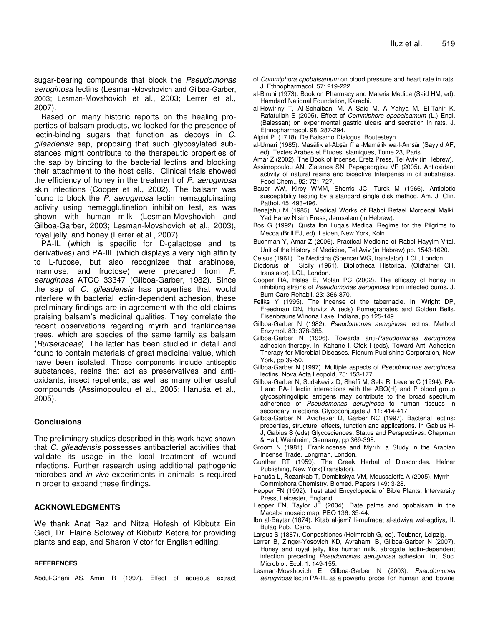sugar-bearing compounds that block the *Pseudomonas aeruginosa* lectins (Lesman-Movshovich and Gilboa-Garber, 2003; Lesman-Movshovich et al., 2003; Lerrer et al., 2007).

Based on many historic reports on the healing properties of balsam products, we looked for the presence of lectin-binding sugars that function as decoys in *C. gileadensis* sap, proposing that such glycosylated substances might contribute to the therapeutic properties of the sap by binding to the bacterial lectins and blocking their attachment to the host cells. Clinical trials showed the efficiency of honey in the treatment of *P. aeruginosa* skin infections (Cooper et al., 2002). The balsam was found to block the *P. aeruginosa* lectin hemaggluinating activity using hemagglutination inhibition test, as was shown with human milk (Lesman-Movshovich and Gilboa-Garber, 2003; Lesman-Movshovich et al., 2003), royal jelly, and honey (Lerrer et al., 2007).

PA-IL (which is specific for D-galactose and its derivatives) and PA-IIL (which displays a very high affinity to L-fucose, but also recognizes that arabinose, mannose, and fructose) were prepared from *P. aeruginosa* ATCC 33347 (Gilboa-Garber, 1982). Since the sap of *C. gileadensis* has properties that would interfere with bacterial lectin-dependent adhesion, these preliminary findings are in agreement with the old claims praising balsam's medicinal qualities. They correlate the recent observations regarding myrrh and frankincense trees, which are species of the same family as balsam (*Burseraceae*). The latter has been studied in detail and found to contain materials of great medicinal value, which have been isolated. These components include antiseptic substances, resins that act as preservatives and antioxidants, insect repellents, as well as many other useful compounds (Assimopoulou et al., 2005; Hanuša et al., 2005).

## **Conclusions**

The preliminary studies described in this work have shown that *C. gileadensis* possesses antibacterial activities that validate its usage in the local treatment of wound infections. Further research using additional pathogenic microbes and *in-vivo* experiments in animals is required in order to expand these findings.

## **ACKNOWLEDGMENTS**

We thank Anat Raz and Nitza Hofesh of Kibbutz Ein Gedi, Dr. Elaine Solowey of Kibbutz Ketora for providing plants and sap, and Sharon Victor for English editing.

## **REFERENCES**

Abdul-Ghani AS, Amin R (1997). Effect of aqueous extract

- of *Commiphora opobalsamum* on blood pressure and heart rate in rats. J. Ethnopharmacol. 57: 219-222.
- al-Biruni (1973). Book on Pharmacy and Materia Medica (Said HM, ed). Hamdard National Foundation, Karachi.
- al-Howiriny T, Al-Sohaibani M, Al-Said M, Al-Yahya M, El-Tahir K, Rafatullah S (2005). Effect of *Commiphora opobalsamum* (L.) Engl. (Balessan) on experimental gastric ulcers and secretion in rats. J. Ethnopharmacol. 98: 287-294.
- Alpini P (1718). De Balsamo Dialogus. Boutesteyn.
- al-Umari (1985). Masālik al-Absār fī al-Mamālik wa-l-Amsār (Sayyid AF, ed). Textes Arabes et Etudes Islamiques, Tome 23, Paris.
- Amar Z (2002). The Book of Incense. Eretz Press, Tel Aviv (in Hebrew).
- Assimopoulou AN, Zlatanos SN, Papageorgiou VP (2005). Antioxidant activity of natural resins and bioactive triterpenes in oil substrates. Food Chem., 92: 721-727.
- Bauer AW, Kirby WMM, Sherris JC, Turck M (1966). Antibiotic susceptibility testing by a standard single disk method. Am. J. Clin. Pathol. 45: 493-496.
- Benajahu M (1985). Medical Works of Rabbi Refael Mordecai Malki. Yad Harav Nisim Press, Jerusalem (in Hebrew).
- Bos G (1992). Qusta Ibn Luqa's Medical Regime for the Pilgrims to Mecca (Brill EJ, ed). Leiden, New York, Koln.
- Buchman Y, Amar Z (2006). Practical Medicine of Rabbi Hayyim Vital. Unit of the History of Medicine, Tel Aviv (in Hebrew) pp. 1543-1620.
- Celsus (1961). De Medicina (Spencer WG, translator). LCL, London.
- Diodorus of Sicily (1961). Bibliotheca Historica. (Oldfather CH, translator). LCL, London.
- Cooper RA, Halas E, Molan PC (2002). The efficacy of honey in inhibiting strains of *Pseudomonas aeruginosa* from infected burns**.** J. Burn Care Rehabil. 23: 366-370.
- Feliks Y (1995). The incense of the tabernacle. In: Wright DP, Freedman DN, Hurvitz A (eds) Pomegranates and Golden Bells. Eisenbrauns Winona Lake, Indiana, pp 125-149.
- Gilboa-Garber N (1982). *Pseudomonas aeruginosa* lectins. Method Enzymol. 83: 378-385.
- Gilboa-Garber N (1996). Towards anti-*Pseudomonas aeruginosa* adhesion therapy. In: Kahane I, Ofek I (eds), Toward Anti-Adhesion Therapy for Microbial Diseases. Plenum Publishing Corporation, New York, pp 39-50.
- Gilboa-Garber N (1997). Multiple aspects of *Pseudomonas aeruginosa* lectins. Nova Acta Leopold, 75: 153-177.
- Gilboa-Garber N, Sudakevitz D, Sheffi M, Sela R, Levene C (1994). PA-I and PA-II lectin interactions with the ABO(H) and P blood group glycosphingolipid antigens may contribute to the broad spectrum adherence of *Pseudomonas aeruginosa* to human tissues in secondary infections. Glycoconjugate J. 11: 414-417.
- Gilboa-Garber N, Avichezer D, Garber NC (1997). Bacterial lectins: properties, structure, effects, function and applications. In Gabius H-J, Gabius S (eds) Glycosciences: Status and Perspectives. Chapman & Hall, Weinheim, Germany, pp 369-398.
- Groom N (1981). Frankincense and Myrrh: a Study in the Arabian Incense Trade. Longman, London.
- Gunther RT (1959). The Greek Herbal of Dioscorides. Hafner Publishing, New York(Translator).
- Hanuša L, Řezankab T, Dembitskya VM, Moussaieffa A (2005). Myrrh Commiphora Chemistry. Biomed. Papers 149: 3-28.
- Hepper FN (1992). Illustrated Encyclopedia of Bible Plants. Intervarsity Press, Leicester, England.
- Hepper FN, Taylor JE (2004). Date palms and opobalsam in the Madaba mosaic map. PEQ 136: 35-44.
- Ibn al-Baytar (1874). Kitab al-jami' li-mufradat al-adwiya wal-agdiya, II. Bulaq Pub., Cairo.
- Largus S (1887). Conpositiones (Helmreich G, ed). Teubner, Leipzig.
- Lerrer B, Zinger-Yosovich KD, Avrahami B, Gilboa-Garber N (2007). Honey and royal jelly, like human milk, abrogate lectin-dependent infection preceding *Pseudomonas aeruginosa* adhesion. Int. Soc. Microbiol. Ecol. 1: 149-155.
- Lesman-Movshovich E, Gilboa-Garber N (2003). *Pseudomonas aeruginosa* lectin PA-IIL as a powerful probe for human and bovine